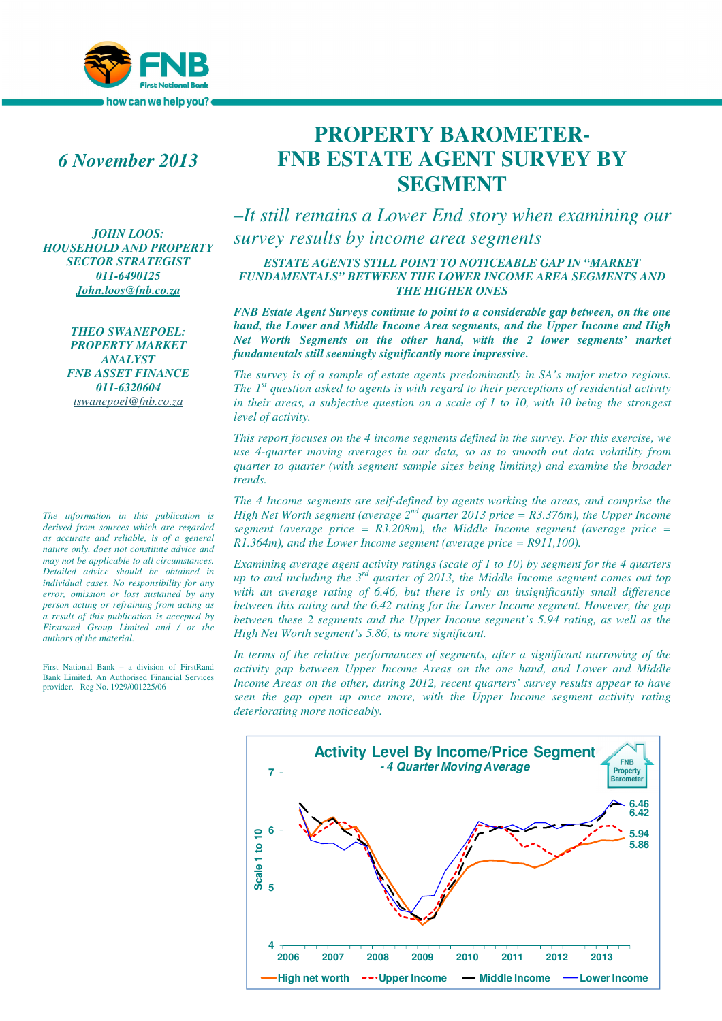

# *6 November 2013*

*JOHN LOOS: HOUSEHOLD AND PROPERTY SECTOR STRATEGIST 011-6490125 John.loos@fnb.co.za*

> *THEO SWANEPOEL: PROPERTY MARKET ANALYST FNB ASSET FINANCE 011-6320604 tswanepoel@fnb.co.za*

*The information in this publication is derived from sources which are regarded as accurate and reliable, is of a general nature only, does not constitute advice and may not be applicable to all circumstances. Detailed advice should be obtained in individual cases. No responsibility for any error, omission or loss sustained by any person acting or refraining from acting as a result of this publication is accepted by Firstrand Group Limited and / or the authors of the material.*

First National Bank – a division of FirstRand Bank Limited. An Authorised Financial Services provider. Reg No. 1929/001225/06

# **PROPERTY BAROMETER-FNB ESTATE AGENT SURVEY BY SEGMENT**

*–It still remains a Lower End story when examining our survey results by income area segments* 

## *ESTATE AGENTS STILL POINT TO NOTICEABLE GAP IN "MARKET FUNDAMENTALS" BETWEEN THE LOWER INCOME AREA SEGMENTS AND THE HIGHER ONES*

*FNB Estate Agent Surveys continue to point to a considerable gap between, on the one hand, the Lower and Middle Income Area segments, and the Upper Income and High Net Worth Segments on the other hand, with the 2 lower segments' market fundamentals still seemingly significantly more impressive.* 

*The survey is of a sample of estate agents predominantly in SA's major metro regions. The 1st question asked to agents is with regard to their perceptions of residential activity in their areas, a subjective question on a scale of 1 to 10, with 10 being the strongest level of activity.* 

*This report focuses on the 4 income segments defined in the survey. For this exercise, we use 4-quarter moving averages in our data, so as to smooth out data volatility from quarter to quarter (with segment sample sizes being limiting) and examine the broader trends.* 

*The 4 Income segments are self-defined by agents working the areas, and comprise the High Net Worth segment (average 2nd quarter 2013 price = R3.376m), the Upper Income segment (average price = R3.208m), the Middle Income segment (average price = R1.364m), and the Lower Income segment (average price = R911,100).* 

*Examining average agent activity ratings (scale of 1 to 10) by segment for the 4 quarters up to and including the 3rd quarter of 2013, the Middle Income segment comes out top with an average rating of 6.46, but there is only an insignificantly small difference between this rating and the 6.42 rating for the Lower Income segment. However, the gap between these 2 segments and the Upper Income segment's 5.94 rating, as well as the High Net Worth segment's 5.86, is more significant.* 

*In terms of the relative performances of segments, after a significant narrowing of the activity gap between Upper Income Areas on the one hand, and Lower and Middle Income Areas on the other, during 2012, recent quarters' survey results appear to have seen the gap open up once more, with the Upper Income segment activity rating deteriorating more noticeably.* 

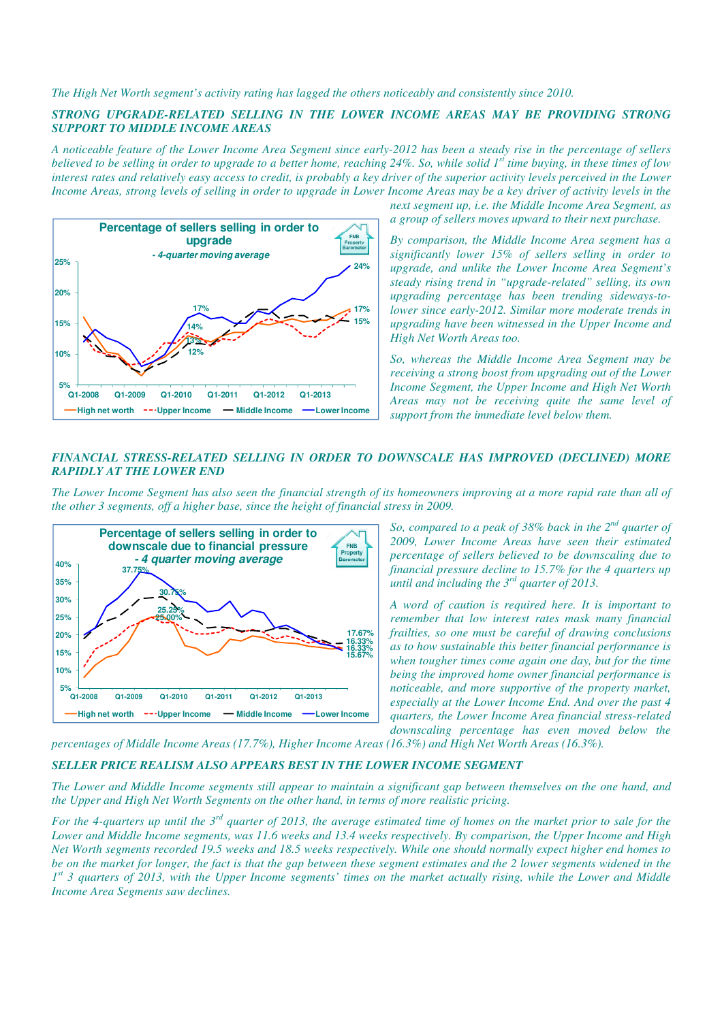*The High Net Worth segment's activity rating has lagged the others noticeably and consistently since 2010.* 

## *STRONG UPGRADE-RELATED SELLING IN THE LOWER INCOME AREAS MAY BE PROVIDING STRONG SUPPORT TO MIDDLE INCOME AREAS*

*A noticeable feature of the Lower Income Area Segment since early-2012 has been a steady rise in the percentage of sellers believed to be selling in order to upgrade to a better home, reaching 24%. So, while solid 1st time buying, in these times of low interest rates and relatively easy access to credit, is probably a key driver of the superior activity levels perceived in the Lower Income Areas, strong levels of selling in order to upgrade in Lower Income Areas may be a key driver of activity levels in the* 



*next segment up, i.e. the Middle Income Area Segment, as a group of sellers moves upward to their next purchase.* 

*By comparison, the Middle Income Area segment has a significantly lower 15% of sellers selling in order to upgrade, and unlike the Lower Income Area Segment's steady rising trend in "upgrade-related" selling, its own upgrading percentage has been trending sideways-tolower since early-2012. Similar more moderate trends in upgrading have been witnessed in the Upper Income and High Net Worth Areas too.* 

*So, whereas the Middle Income Area Segment may be receiving a strong boost from upgrading out of the Lower Income Segment, the Upper Income and High Net Worth Areas may not be receiving quite the same level of support from the immediate level below them.* 

#### *FINANCIAL STRESS-RELATED SELLING IN ORDER TO DOWNSCALE HAS IMPROVED (DECLINED) MORE RAPIDLY AT THE LOWER END*

*The Lower Income Segment has also seen the financial strength of its homeowners improving at a more rapid rate than all of the other 3 segments, off a higher base, since the height of financial stress in 2009.* 



*So, compared to a peak of 38% back in the 2nd quarter of 2009, Lower Income Areas have seen their estimated percentage of sellers believed to be downscaling due to financial pressure decline to 15.7% for the 4 quarters up until and including the 3rd quarter of 2013.* 

*A word of caution is required here. It is important to remember that low interest rates mask many financial frailties, so one must be careful of drawing conclusions as to how sustainable this better financial performance is when tougher times come again one day, but for the time being the improved home owner financial performance is noticeable, and more supportive of the property market, especially at the Lower Income End. And over the past 4 quarters, the Lower Income Area financial stress-related downscaling percentage has even moved below the* 

*percentages of Middle Income Areas (17.7%), Higher Income Areas (16.3%) and High Net Worth Areas (16.3%).* 

#### *SELLER PRICE REALISM ALSO APPEARS BEST IN THE LOWER INCOME SEGMENT*

*The Lower and Middle Income segments still appear to maintain a significant gap between themselves on the one hand, and the Upper and High Net Worth Segments on the other hand, in terms of more realistic pricing.* 

*For the 4-quarters up until the 3rd quarter of 2013, the average estimated time of homes on the market prior to sale for the Lower and Middle Income segments, was 11.6 weeks and 13.4 weeks respectively. By comparison, the Upper Income and High Net Worth segments recorded 19.5 weeks and 18.5 weeks respectively. While one should normally expect higher end homes to be on the market for longer, the fact is that the gap between these segment estimates and the 2 lower segments widened in the 1 st 3 quarters of 2013, with the Upper Income segments' times on the market actually rising, while the Lower and Middle Income Area Segments saw declines.*